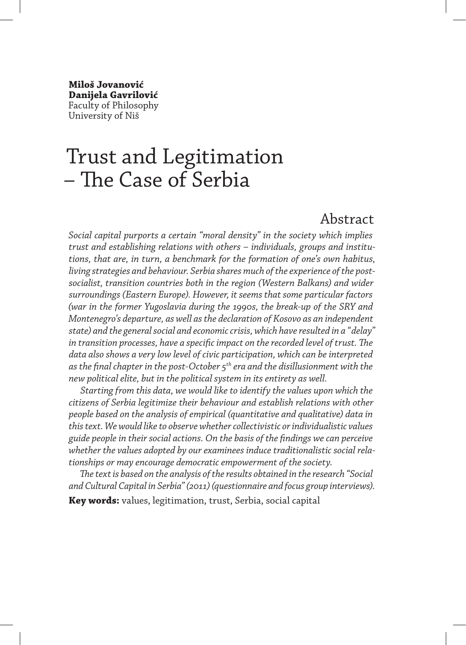**Miloš Jovanović Danijela Gavrilović** Faculty of Philosophy University of Niš

# Trust and Legitimation – The Case of Serbia

#### Abstract

*Social capital purports a certain "moral density" in the society which implies trust and establishing relations with others – individuals, groups and institutions, that are, in turn, a benchmark for the formation of one's own habitus, living strategies and behaviour. Serbia shares much of the experience of the postsocialist, transition countries both in the region (Western Balkans) and wider surroundings (Eastern Europe). However, it seems that some particular factors (war in the former Yugoslavia during the 1990s, the break-up of the SRY and Montenegro's departure, as well as the declaration of Kosovo as an independent state) and the general social and economic crisis, which have resulted in a "delay" in transition processes, have a specific impact on the recorded level of trust. The data also shows a very low level of civic participation, which can be interpreted as the final chapter in the post-October 5th era and the disillusionment with the new political elite, but in the political system in its entirety as well.*

*Starting from this data, we would like to identify the values upon which the citizens of Serbia legitimize their behaviour and establish relations with other people based on the analysis of empirical (quantitative and qualitative) data in this text. We would like to observe whether collectivistic or individualistic values guide people in their social actions. On the basis of the findings we can perceive whether the values adopted by our examinees induce traditionalistic social relationships or may encourage democratic empowerment of the society.*

*The text is based on the analysis of the results obtained in the research "Social and Cultural Capital in Serbia" (2011) (questionnaire and focus group interviews).* **Key words:** values, legitimation, trust, Serbia, social capital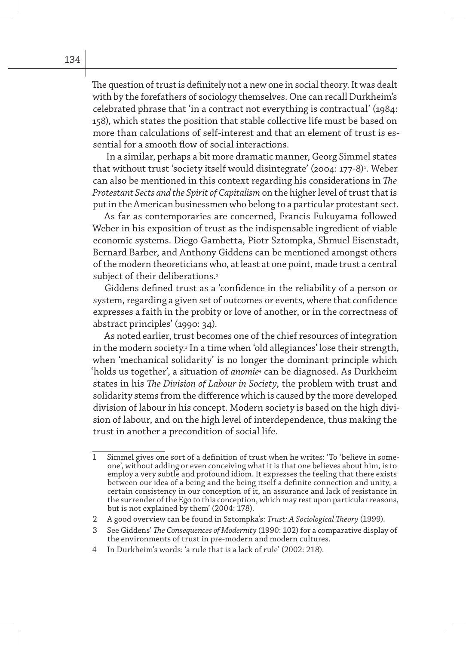The question of trust is definitely not a new one in social theory. It was dealt with by the forefathers of sociology themselves. One can recall Durkheim's celebrated phrase that 'in a contract not everything is contractual' (1984: 158), which states the position that stable collective life must be based on more than calculations of self-interest and that an element of trust is essential for a smooth flow of social interactions.

 In a similar, perhaps a bit more dramatic manner, Georg Simmel states that without trust 'society itself would disintegrate' (2004: 177-8)<sup>,</sup>. Weber can also be mentioned in this context regarding his considerations in *The Protestant Sects and the Spirit of Capitalism* on the higher level of trust that is put in the American businessmen who belong to a particular protestant sect.

As far as contemporaries are concerned, Francis Fukuyama followed Weber in his exposition of trust as the indispensable ingredient of viable economic systems. Diego Gambetta, Piotr Sztompka, Shmuel Eisenstadt, Bernard Barber, and Anthony Giddens can be mentioned amongst others of the modern theoreticians who, at least at one point, made trust a central subject of their deliberations.<sup>2</sup>

Giddens defined trust as a 'confidence in the reliability of a person or system, regarding a given set of outcomes or events, where that confidence expresses a faith in the probity or love of another, or in the correctness of abstract principles' (1990: 34).

As noted earlier, trust becomes one of the chief resources of integration in the modern society.<sup>3</sup> In a time when 'old allegiances' lose their strength, when 'mechanical solidarity' is no longer the dominant principle which 'holds us together', a situation of *anomie*<sup>4</sup> can be diagnosed. As Durkheim states in his *The Division of Labour in Society*, the problem with trust and solidarity stems from the difference which is caused by the more developed division of labour in his concept. Modern society is based on the high division of labour, and on the high level of interdependence, thus making the trust in another a precondition of social life.

<sup>1</sup> Simmel gives one sort of a definition of trust when he writes: 'To 'believe in someone', without adding or even conceiving what it is that one believes about him, is to employ a very subtle and profound idiom. It expresses the feeling that there exists between our idea of a being and the being itself a definite connection and unity, a certain consistency in our conception of it, an assurance and lack of resistance in the surrender of the Ego to this conception, which may rest upon particular reasons, but is not explained by them' (2004: 178).

<sup>2</sup> A good overview can be found in Sztompka's: *Trust: A Sociological Theory* (1999).

<sup>3</sup> See Giddens' *The Consequences of Modernity* (1990: 102) for a comparative display of the environments of trust in pre-modern and modern cultures.

<sup>4</sup> In Durkheim's words: 'a rule that is a lack of rule' (2002: 218).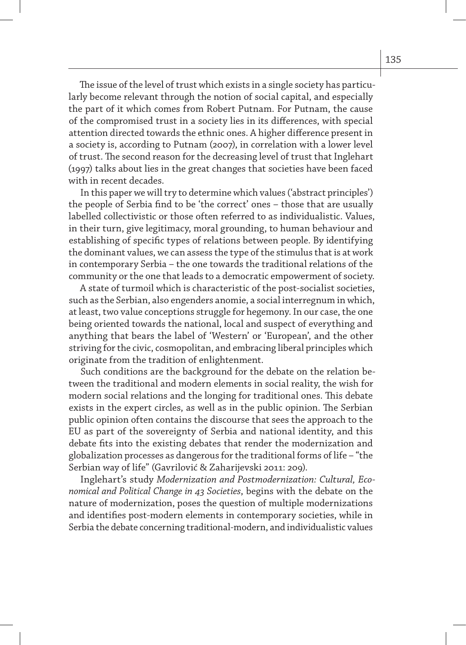The issue of the level of trust which exists in a single society has particularly become relevant through the notion of social capital, and especially the part of it which comes from Robert Putnam. For Putnam, the cause of the compromised trust in a society lies in its differences, with special attention directed towards the ethnic ones. A higher difference present in a society is, according to Putnam (2007), in correlation with a lower level of trust. The second reason for the decreasing level of trust that Inglehart (1997) talks about lies in the great changes that societies have been faced with in recent decades.

In this paper we will try to determine which values ('abstract principles') the people of Serbia find to be 'the correct' ones – those that are usually labelled collectivistic or those often referred to as individualistic. Values, in their turn, give legitimacy, moral grounding, to human behaviour and establishing of specific types of relations between people. By identifying the dominant values, we can assess the type of the stimulus that is at work in contemporary Serbia – the one towards the traditional relations of the community or the one that leads to a democratic empowerment of society.

A state of turmoil which is characteristic of the post-socialist societies, such as the Serbian, also engenders anomie, a social interregnum in which, at least, two value conceptions struggle for hegemony. In our case, the one being oriented towards the national, local and suspect of everything and anything that bears the label of 'Western' or 'European', and the other striving for the civic, cosmopolitan, and embracing liberal principles which originate from the tradition of enlightenment.

Such conditions are the background for the debate on the relation between the traditional and modern elements in social reality, the wish for modern social relations and the longing for traditional ones. This debate exists in the expert circles, as well as in the public opinion. The Serbian public opinion often contains the discourse that sees the approach to the EU as part of the sovereignty of Serbia and national identity, and this debate fits into the existing debates that render the modernization and globalization processes as dangerous for the traditional forms of life – "the Serbian way of life" (Gavrilović & Zaharijevski 2011: 209).

Inglehart's study *Modernization and Postmodernization: Cultural, Economical and Political Change in 43 Societies*, begins with the debate on the nature of modernization, poses the question of multiple modernizations and identifies post-modern elements in contemporary societies, while in Serbia the debate concerning traditional-modern, and individualistic values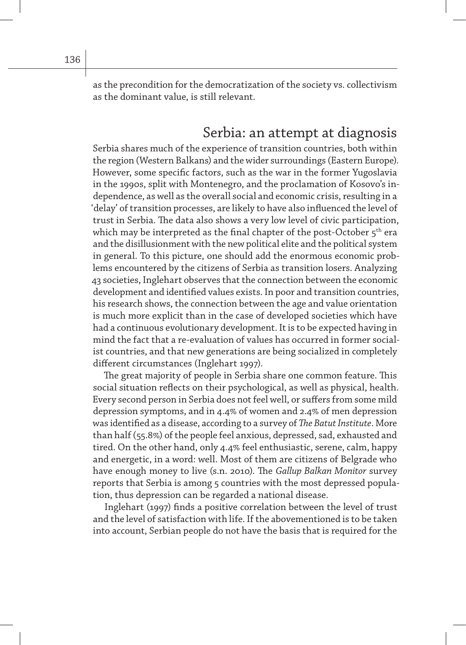as the precondition for the democratization of the society vs. collectivism as the dominant value, is still relevant.

### Serbia: an attempt at diagnosis

Serbia shares much of the experience of transition countries, both within the region (Western Balkans) and the wider surroundings (Eastern Europe). However, some specific factors, such as the war in the former Yugoslavia in the 1990s, split with Montenegro, and the proclamation of Kosovo's independence, as well as the overall social and economic crisis, resulting in a 'delay' of transition processes, are likely to have also influenced the level of trust in Serbia. The data also shows a very low level of civic participation, which may be interpreted as the final chapter of the post-October  $5<sup>th</sup>$  era and the disillusionment with the new political elite and the political system in general. To this picture, one should add the enormous economic problems encountered by the citizens of Serbia as transition losers. Analyzing 43 societies, Inglehart observes that the connection between the economic development and identified values exists. In poor and transition countries, his research shows, the connection between the age and value orientation is much more explicit than in the case of developed societies which have had a continuous evolutionary development. It is to be expected having in mind the fact that a re-evaluation of values has occurred in former socialist countries, and that new generations are being socialized in completely different circumstances (Inglehart 1997).

The great majority of people in Serbia share one common feature. This social situation reflects on their psychological, as well as physical, health. Every second person in Serbia does not feel well, or suffers from some mild depression symptoms, and in 4.4% of women and 2.4% of men depression was identified as a disease, according to a survey of *The Batut Institute*. More than half (55.8%) of the people feel anxious, depressed, sad, exhausted and tired. On the other hand, only 4.4% feel enthusiastic, serene, calm, happy and energetic, in a word: well. Most of them are citizens of Belgrade who have enough money to live (s.n. 2010). The *Gallup Balkan Monitor* survey reports that Serbia is among 5 countries with the most depressed population, thus depression can be regarded a national disease.

Inglehart (1997) finds a positive correlation between the level of trust and the level of satisfaction with life. If the abovementioned is to be taken into account, Serbian people do not have the basis that is required for the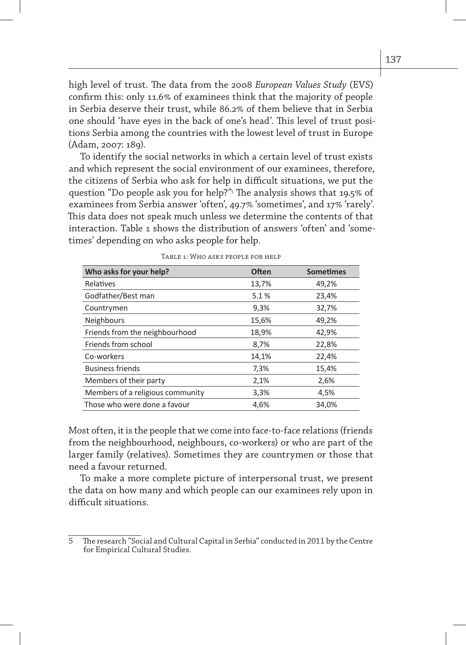high level of trust. The data from the 2008 *European Values Study* (EVS) confirm this: only 11.6% of examinees think that the majority of people in Serbia deserve their trust, while 86.2% of them believe that in Serbia one should 'have eyes in the back of one's head'. This level of trust positions Serbia among the countries with the lowest level of trust in Europe (Adam, 2007: 189).

To identify the social networks in which a certain level of trust exists and which represent the social environment of our examinees, therefore, the citizens of Serbia who ask for help in difficult situations, we put the question "Do people ask you for help?"5 The analysis shows that 19.5% of examinees from Serbia answer 'often', 49.7% 'sometimes', and 17% 'rarely'. This data does not speak much unless we determine the contents of that interaction. Table 1 shows the distribution of answers 'often' and 'sometimes' depending on who asks people for help.

| Who asks for your help?          | <b>Often</b> | <b>Sometimes</b> |
|----------------------------------|--------------|------------------|
| Relatives                        | 13,7%        | 49,2%            |
| Godfather/Best man               | 5.1%         | 23,4%            |
| Countrymen                       | 9,3%         | 32,7%            |
| <b>Neighbours</b>                | 15,6%        | 49,2%            |
| Friends from the neighbourhood   | 18,9%        | 42,9%            |
| Friends from school              | 8,7%         | 22,8%            |
| Co-workers                       | 14,1%        | 22,4%            |
| <b>Business friends</b>          | 7,3%         | 15,4%            |
| Members of their party           | 2,1%         | 2,6%             |
| Members of a religious community | 3,3%         | 4,5%             |
| Those who were done a favour     | 4,6%         | 34,0%            |

Table 1: Who asks people for help

Most often, it is the people that we come into face-to-face relations (friends from the neighbourhood, neighbours, co-workers) or who are part of the larger family (relatives). Sometimes they are countrymen or those that need a favour returned.

To make a more complete picture of interpersonal trust, we present the data on how many and which people can our examinees rely upon in difficult situations.

<sup>5</sup> The research "Social and Cultural Capital in Serbia" conducted in 2011 by the Centre for Empirical Cultural Studies.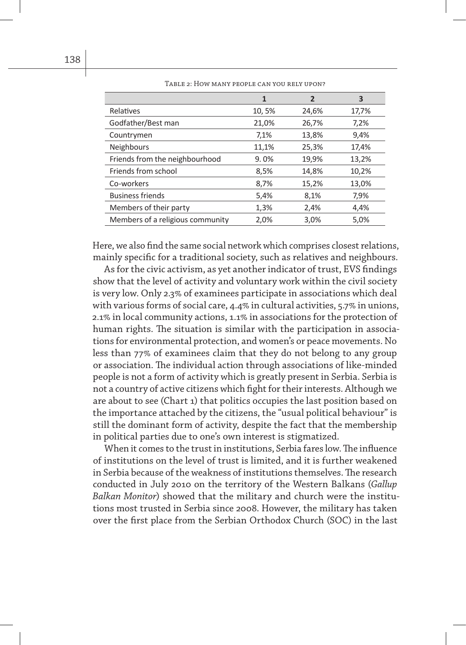|                                  | 1     | $\overline{2}$ | 3     |
|----------------------------------|-------|----------------|-------|
| Relatives                        | 10,5% | 24,6%          | 17,7% |
| Godfather/Best man               | 21,0% | 26,7%          | 7,2%  |
| Countrymen                       | 7,1%  | 13,8%          | 9,4%  |
| Neighbours                       | 11,1% | 25,3%          | 17,4% |
| Friends from the neighbourhood   | 9.0%  | 19,9%          | 13,2% |
| Friends from school              | 8,5%  | 14,8%          | 10,2% |
| Co-workers                       | 8,7%  | 15,2%          | 13,0% |
| <b>Business friends</b>          | 5,4%  | 8,1%           | 7,9%  |
| Members of their party           | 1,3%  | 2,4%           | 4,4%  |
| Members of a religious community | 2,0%  | 3,0%           | 5,0%  |

Table 2: How many people can you rely upon?

Here, we also find the same social network which comprises closest relations, mainly specific for a traditional society, such as relatives and neighbours.

As for the civic activism, as yet another indicator of trust, EVS findings show that the level of activity and voluntary work within the civil society is very low. Only 2.3% of examinees participate in associations which deal with various forms of social care, 4.4% in cultural activities, 5.7% in unions, 2.1% in local community actions, 1.1% in associations for the protection of human rights. The situation is similar with the participation in associations for environmental protection, and women's or peace movements. No less than 77% of examinees claim that they do not belong to any group or association. The individual action through associations of like-minded people is not a form of activity which is greatly present in Serbia. Serbia is not a country of active citizens which fight for their interests. Although we are about to see (Chart 1) that politics occupies the last position based on the importance attached by the citizens, the "usual political behaviour" is still the dominant form of activity, despite the fact that the membership in political parties due to one's own interest is stigmatized.

When it comes to the trust in institutions, Serbia fares low. The influence of institutions on the level of trust is limited, and it is further weakened in Serbia because of the weakness of institutions themselves. The research conducted in July 2010 on the territory of the Western Balkans (*Gallup Balkan Monitor*) showed that the military and church were the institutions most trusted in Serbia since 2008. However, the military has taken over the first place from the Serbian Orthodox Church (SOC) in the last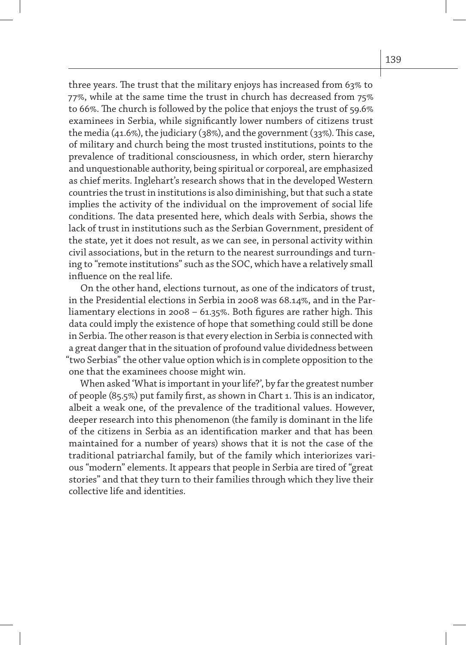three years. The trust that the military enjoys has increased from 63% to 77%, while at the same time the trust in church has decreased from 75% to 66%. The church is followed by the police that enjoys the trust of 59.6% examinees in Serbia, while significantly lower numbers of citizens trust the media (41.6%), the judiciary (38%), and the government (33%). This case, of military and church being the most trusted institutions, points to the prevalence of traditional consciousness, in which order, stern hierarchy and unquestionable authority, being spiritual or corporeal, are emphasized as chief merits. Inglehart's research shows that in the developed Western countries the trust in institutions is also diminishing, but that such a state implies the activity of the individual on the improvement of social life conditions. The data presented here, which deals with Serbia, shows the lack of trust in institutions such as the Serbian Government, president of the state, yet it does not result, as we can see, in personal activity within civil associations, but in the return to the nearest surroundings and turning to "remote institutions" such as the SOC, which have a relatively small influence on the real life.

On the other hand, elections turnout, as one of the indicators of trust, in the Presidential elections in Serbia in 2008 was 68.14%, and in the Parliamentary elections in 2008 – 61.35%. Both figures are rather high. This data could imply the existence of hope that something could still be done in Serbia. The other reason is that every election in Serbia is connected with a great danger that in the situation of profound value dividedness between "two Serbias" the other value option which is in complete opposition to the one that the examinees choose might win.

When asked 'What is important in your life?', by far the greatest number of people (85.5%) put family first, as shown in Chart 1. This is an indicator, albeit a weak one, of the prevalence of the traditional values. However, deeper research into this phenomenon (the family is dominant in the life of the citizens in Serbia as an identification marker and that has been maintained for a number of years) shows that it is not the case of the traditional patriarchal family, but of the family which interiorizes various "modern" elements. It appears that people in Serbia are tired of "great stories" and that they turn to their families through which they live their collective life and identities.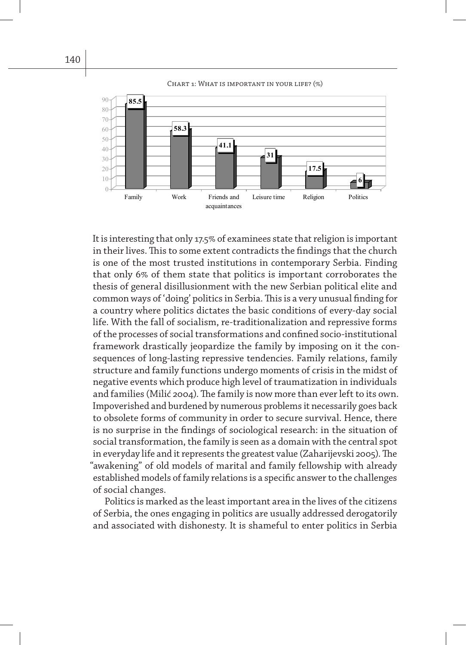



It is interesting that only 17.5% of examinees state that religion is important in their lives. This to some extent contradicts the findings that the church is one of the most trusted institutions in contemporary Serbia. Finding that only 6% of them state that politics is important corroborates the thesis of general disillusionment with the new Serbian political elite and common ways of 'doing' politics in Serbia. This is a very unusual finding for a country where politics dictates the basic conditions of every-day social life. With the fall of socialism, re-traditionalization and repressive forms of the processes of social transformations and confined socio-institutional framework drastically jeopardize the family by imposing on it the consequences of long-lasting repressive tendencies. Family relations, family structure and family functions undergo moments of crisis in the midst of negative events which produce high level of traumatization in individuals and families (Milić 2004). The family is now more than ever left to its own. Impoverished and burdened by numerous problems it necessarily goes back to obsolete forms of community in order to secure survival. Hence, there is no surprise in the findings of sociological research: in the situation of social transformation, the family is seen as a domain with the central spot in everyday life and it represents the greatest value (Zaharijevski 2005). The "awakening" of old models of marital and family fellowship with already established models of family relations is a specific answer to the challenges of social changes.

Politics is marked as the least important area in the lives of the citizens of Serbia, the ones engaging in politics are usually addressed derogatorily and associated with dishonesty. It is shameful to enter politics in Serbia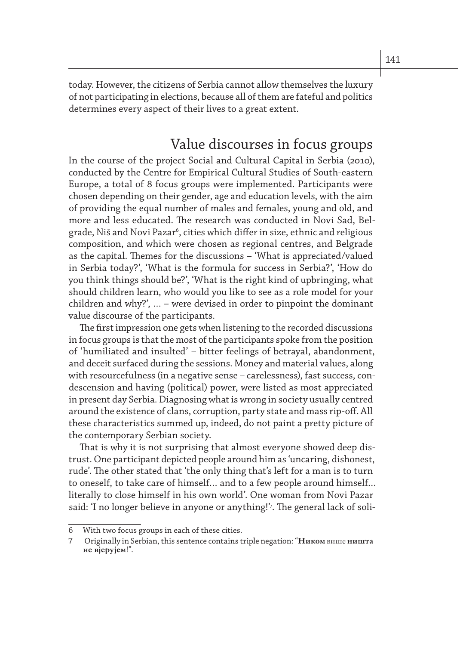today. However, the citizens of Serbia cannot allow themselves the luxury of not participating in elections, because all of them are fateful and politics determines every aspect of their lives to a great extent.

#### Value discourses in focus groups

In the course of the project Social and Cultural Capital in Serbia (2010), conducted by the Centre for Empirical Cultural Studies of South-eastern Europe, a total of 8 focus groups were implemented. Participants were chosen depending on their gender, age and education levels, with the aim of providing the equal number of males and females, young and old, and more and less educated. The research was conducted in Novi Sad, Belgrade, Niš and Novi Pazar', cities which differ in size, ethnic and religious composition, and which were chosen as regional centres, and Belgrade as the capital. Themes for the discussions – 'What is appreciated/valued in Serbia today?', 'What is the formula for success in Serbia?', 'How do you think things should be?', 'What is the right kind of upbringing, what should children learn, who would you like to see as a role model for your children and why?', … – were devised in order to pinpoint the dominant value discourse of the participants.

The first impression one gets when listening to the recorded discussions in focus groups is that the most of the participants spoke from the position of 'humiliated and insulted' – bitter feelings of betrayal, abandonment, and deceit surfaced during the sessions. Money and material values, along with resourcefulness (in a negative sense – carelessness), fast success, condescension and having (political) power, were listed as most appreciated in present day Serbia. Diagnosing what is wrong in society usually centred around the existence of clans, corruption, party state and mass rip-off. All these characteristics summed up, indeed, do not paint a pretty picture of the contemporary Serbian society.

That is why it is not surprising that almost everyone showed deep distrust. One participant depicted people around him as 'uncaring, dishonest, rude'. The other stated that 'the only thing that's left for a man is to turn to oneself, to take care of himself… and to a few people around himself… literally to close himself in his own world'. One woman from Novi Pazar said: 'I no longer believe in anyone or anything!'7 . The general lack of soli-

<sup>6</sup> With two focus groups in each of these cities.

<sup>7</sup> Originally in Serbian, this sentence contains triple negation: "**Ником** више **ништа не вјерујем**!".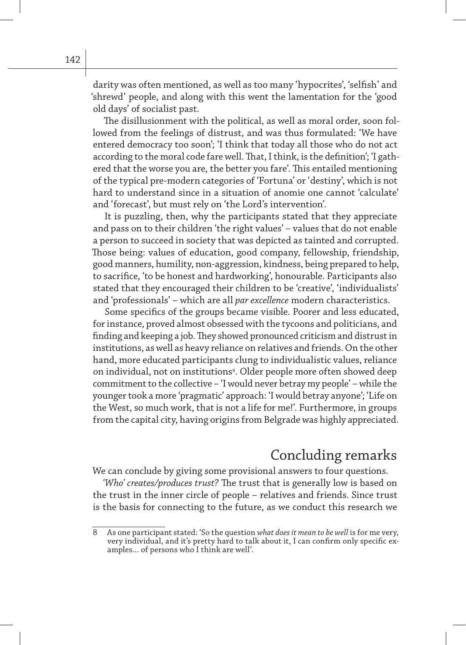darity was often mentioned, as well as too many 'hypocrites', 'selfish' and 'shrewd' people, and along with this went the lamentation for the 'good old days' of socialist past.

The disillusionment with the political, as well as moral order, soon followed from the feelings of distrust, and was thus formulated: 'We have entered democracy too soon'; 'I think that today all those who do not act according to the moral code fare well. That, I think, is the definition'; 'I gathered that the worse you are, the better you fare'. This entailed mentioning of the typical pre-modern categories of 'Fortuna' or 'destiny', which is not hard to understand since in a situation of anomie one cannot 'calculate' and 'forecast', but must rely on 'the Lord's intervention'.

It is puzzling, then, why the participants stated that they appreciate and pass on to their children 'the right values' – values that do not enable a person to succeed in society that was depicted as tainted and corrupted. Those being: values of education, good company, fellowship, friendship, good manners, humility, non-aggression, kindness, being prepared to help, to sacrifice, 'to be honest and hardworking', honourable. Participants also stated that they encouraged their children to be 'creative', 'individualists' and 'professionals' – which are all *par excellence* modern characteristics.

Some specifics of the groups became visible. Poorer and less educated, for instance, proved almost obsessed with the tycoons and politicians, and finding and keeping a job. They showed pronounced criticism and distrust in institutions, as well as heavy reliance on relatives and friends. On the other hand, more educated participants clung to individualistic values, reliance on individual, not on institutions<sup>8</sup>. Older people more often showed deep commitment to the collective – 'I would never betray my people' – while the younger took a more 'pragmatic' approach: 'I would betray anyone'; 'Life on the West, so much work, that is not a life for me!'. Furthermore, in groups from the capital city, having origins from Belgrade was highly appreciated.

## Concluding remarks

We can conclude by giving some provisional answers to four questions.

*'Who' creates/produces trust?* The trust that is generally low is based on the trust in the inner circle of people – relatives and friends. Since trust is the basis for connecting to the future, as we conduct this research we

<sup>8</sup> As one participant stated: 'So the question *what does it mean to be well* is for me very, very individual, and it's pretty hard to talk about it, I can confirm only specific examples… of persons who I think are well'.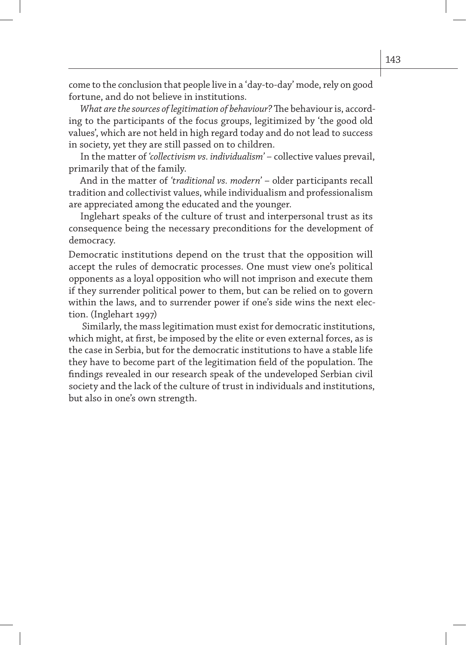come to the conclusion that people live in a 'day-to-day' mode, rely on good fortune, and do not believe in institutions.

*What are the sources of legitimation of behaviour?* The behaviour is, according to the participants of the focus groups, legitimized by 'the good old values', which are not held in high regard today and do not lead to success in society, yet they are still passed on to children.

In the matter of *'collectivism vs. individualism'* – collective values prevail, primarily that of the family.

And in the matter of *'traditional vs. modern'* – older participants recall tradition and collectivist values, while individualism and professionalism are appreciated among the educated and the younger.

Inglehart speaks of the culture of trust and interpersonal trust as its consequence being the necessary preconditions for the development of democracy.

Democratic institutions depend on the trust that the opposition will accept the rules of democratic processes. One must view one's political opponents as a loyal opposition who will not imprison and execute them if they surrender political power to them, but can be relied on to govern within the laws, and to surrender power if one's side wins the next election. (Inglehart 1997)

 Similarly, the mass legitimation must exist for democratic institutions, which might, at first, be imposed by the elite or even external forces, as is the case in Serbia, but for the democratic institutions to have a stable life they have to become part of the legitimation field of the population. The findings revealed in our research speak of the undeveloped Serbian civil society and the lack of the culture of trust in individuals and institutions, but also in one's own strength.